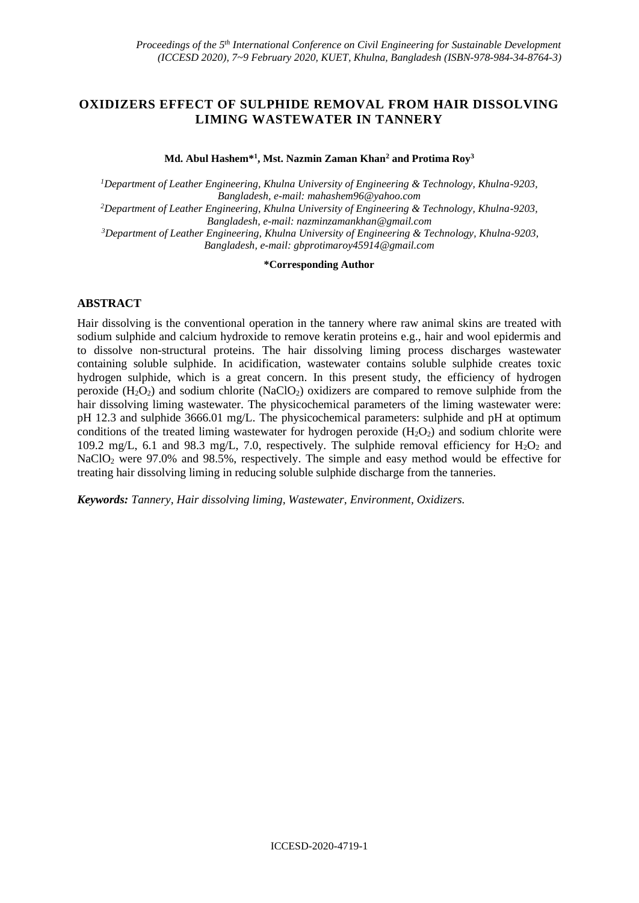## **OXIDIZERS EFFECT OF SULPHIDE REMOVAL FROM HAIR DISSOLVING LIMING WASTEWATER IN TANNERY**

**Md. Abul Hashem\*<sup>1</sup> , Mst. Nazmin Zaman Khan<sup>2</sup> and Protima Roy<sup>3</sup>**

*<sup>1</sup>Department of Leather Engineering, Khulna University of Engineering & Technology, Khulna-9203, Bangladesh, e-mail: mahashem96@yahoo.com <sup>2</sup>Department of Leather Engineering, Khulna University of Engineering & Technology, Khulna-9203, Bangladesh, e-mail[: nazminzamankhan@gmail.com](mailto:nazminzamankhan@gmail.com) <sup>3</sup>Department of Leather Engineering, Khulna University of Engineering & Technology, Khulna-9203, Bangladesh, e-mail: [gbprotimaroy45914@gmail.com](mailto:gbprotimaroy45914@gmail.com)*

#### **\*Corresponding Author**

### **ABSTRACT**

Hair dissolving is the conventional operation in the tannery where raw animal skins are treated with sodium sulphide and calcium hydroxide to remove keratin proteins e.g., hair and wool epidermis and to dissolve non-structural proteins. The hair dissolving liming process discharges wastewater containing soluble sulphide. In acidification, wastewater contains soluble sulphide creates toxic hydrogen sulphide, which is a great concern. In this present study, the efficiency of hydrogen peroxide  $(H_2O_2)$  and sodium chlorite (NaClO<sub>2</sub>) oxidizers are compared to remove sulphide from the hair dissolving liming wastewater. The physicochemical parameters of the liming wastewater were: pH 12.3 and sulphide 3666.01 mg/L. The physicochemical parameters: sulphide and pH at optimum conditions of the treated liming wastewater for hydrogen peroxide  $(H_2O_2)$  and sodium chlorite were 109.2 mg/L, 6.1 and 98.3 mg/L, 7.0, respectively. The sulphide removal efficiency for H<sub>2</sub>O<sub>2</sub> and NaClO<sub>2</sub> were 97.0% and 98.5%, respectively. The simple and easy method would be effective for treating hair dissolving liming in reducing soluble sulphide discharge from the tanneries.

*Keywords: Tannery, Hair dissolving liming, Wastewater, Environment, Oxidizers.*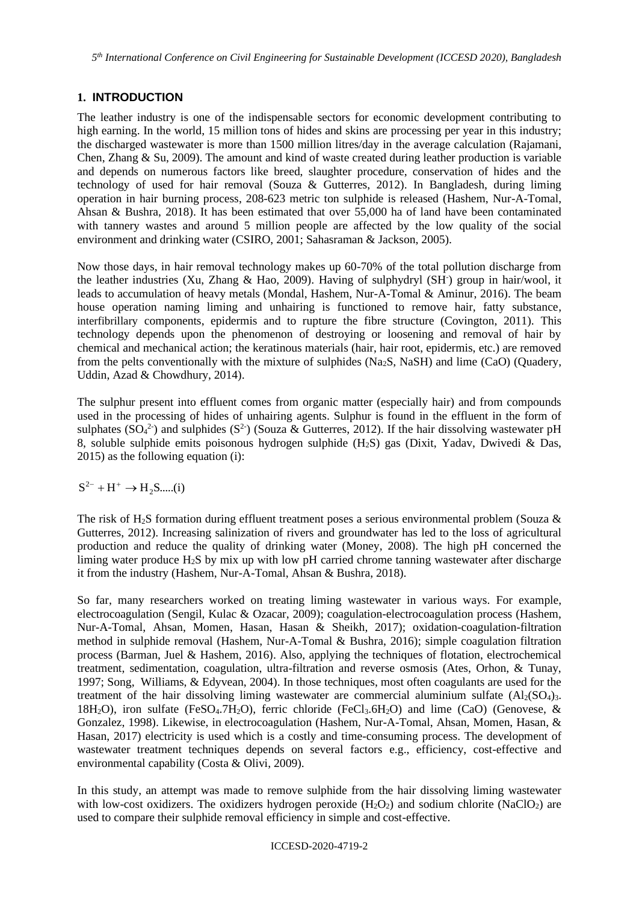*5 th International Conference on Civil Engineering for Sustainable Development (ICCESD 2020), Bangladesh*

### **1. INTRODUCTION**

The leather industry is one of the indispensable sectors for economic development contributing to high earning. In the world, 15 million tons of hides and skins are processing per year in this industry; the discharged wastewater is more than 1500 million litres/day in the average calculation (Rajamani, Chen, Zhang & Su, 2009). The amount and kind of waste created during leather production is variable and depends on numerous factors like breed, slaughter procedure, conservation of hides and the technology of used for hair removal (Souza & Gutterres, 2012). In Bangladesh, during liming operation in hair burning process, 208-623 metric ton sulphide is released (Hashem, Nur-A-Tomal, Ahsan & Bushra, 2018). It has been estimated that over 55,000 ha of land have been contaminated with tannery wastes and around 5 million people are affected by the low quality of the social environment and drinking water (CSIRO, 2001; Sahasraman & Jackson, 2005).

Now those days, in hair removal technology makes up 60-70% of the total pollution discharge from the leather industries (Xu, Zhang & Hao, 2009). Having of sulphydryl (SH<sup>-</sup>) group in hair/wool, it leads to accumulation of heavy metals (Mondal, Hashem, Nur-A-Tomal & Aminur, 2016). The beam house operation naming liming and unhairing is functioned to remove hair, fatty substance, interfibrillary components, epidermis and to rupture the fibre structure (Covington, 2011). This technology depends upon the phenomenon of destroying or loosening and removal of hair by chemical and mechanical action; the keratinous materials (hair, hair root, epidermis, etc.) are removed from the pelts conventionally with the mixture of sulphides (Na<sub>2</sub>S, NaSH) and lime (CaO) (Ouadery, Uddin, Azad & Chowdhury, 2014).

The sulphur present into effluent comes from organic matter (especially hair) and from compounds used in the processing of hides of unhairing agents. Sulphur is found in the effluent in the form of sulphates ( $SO_4^2$ ) and sulphides ( $S^2$ ) (Souza & Gutterres, 2012). If the hair dissolving wastewater pH 8, soluble sulphide emits poisonous hydrogen sulphide (H2S) gas (Dixit, Yadav, Dwivedi & Das, 2015) as the following equation (i):

 $S^{2-} + H^+ \rightarrow H_2S$ .....(i)

The risk of H<sub>2</sub>S formation during effluent treatment poses a serious environmental problem (Souza & Gutterres, 2012). Increasing salinization of rivers and groundwater has led to the loss of agricultural production and reduce the quality of drinking water (Money, 2008). The high pH concerned the liming water produce H2S by mix up with low pH carried chrome tanning wastewater after discharge it from the industry (Hashem, Nur-A-Tomal, Ahsan & Bushra, 2018).

So far, many researchers worked on treating liming wastewater in various ways. For example, electrocoagulation (Sengil, Kulac & Ozacar, 2009); coagulation-electrocoagulation process (Hashem, Nur-A-Tomal, Ahsan, Momen, Hasan, Hasan & Sheikh, 2017); oxidation-coagulation-filtration method in sulphide removal (Hashem, Nur-A-Tomal & Bushra, 2016); simple coagulation filtration process (Barman, Juel & Hashem, 2016). Also, applying the techniques of flotation, electrochemical treatment, sedimentation, coagulation, ultra-filtration and reverse osmosis (Ates, Orhon, & Tunay, 1997; Song, Williams, & Edyvean, 2004). In those techniques, most often coagulants are used for the treatment of the hair dissolving liming wastewater are commercial aluminium sulfate  $(A_2(SO_4))$ . 18H<sub>2</sub>O), iron sulfate (FeSO<sub>4</sub>.7H<sub>2</sub>O), ferric chloride (FeCl<sub>3</sub>.6H<sub>2</sub>O) and lime (CaO) (Genovese, & Gonzalez, 1998). Likewise, in electrocoagulation (Hashem, Nur-A-Tomal, Ahsan, Momen, Hasan, & Hasan, 2017) electricity is used which is a costly and time-consuming process. The development of wastewater treatment techniques depends on several factors e.g., efficiency, cost-effective and environmental capability (Costa & Olivi, 2009).

In this study, an attempt was made to remove sulphide from the hair dissolving liming wastewater with low-cost oxidizers. The oxidizers hydrogen peroxide  $(H_2O_2)$  and sodium chlorite (NaClO<sub>2</sub>) are used to compare their sulphide removal efficiency in simple and cost-effective.

#### ICCESD-2020-4719-2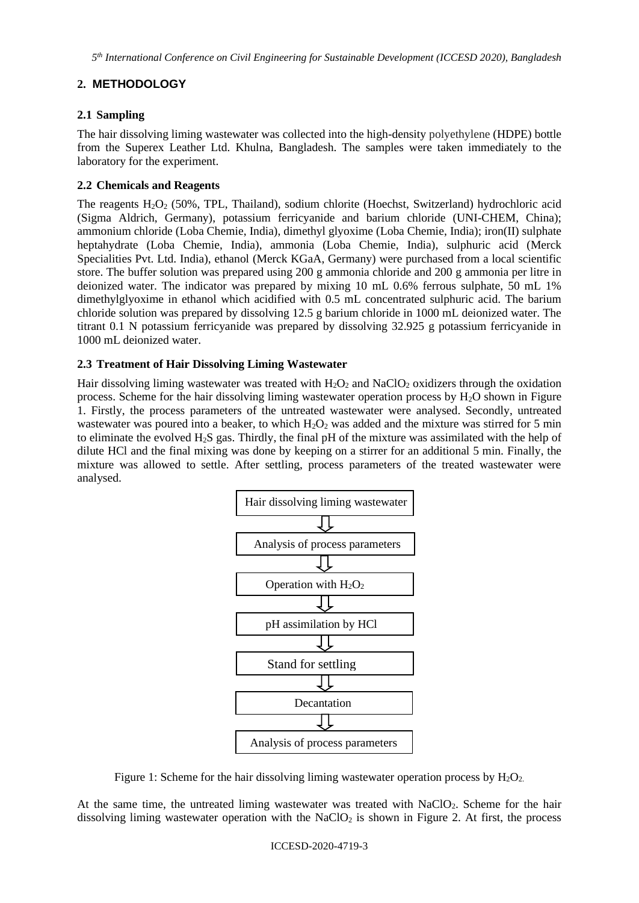*5 th International Conference on Civil Engineering for Sustainable Development (ICCESD 2020), Bangladesh*

# **2. METHODOLOGY**

## **2.1 Sampling**

The hair dissolving liming wastewater was collected into the high-density polyethylene (HDPE) bottle from the Superex Leather Ltd. Khulna, Bangladesh. The samples were taken immediately to the laboratory for the experiment.

## **2.2 Chemicals and Reagents**

The reagents H<sub>2</sub>O<sub>2</sub> (50%, TPL, Thailand), sodium chlorite (Hoechst, Switzerland) hydrochloric acid (Sigma Aldrich, Germany), potassium ferricyanide and barium chloride (UNI-CHEM, China); ammonium chloride (Loba Chemie, India), dimethyl glyoxime (Loba Chemie, India); iron(II) sulphate heptahydrate (Loba Chemie, India), ammonia (Loba Chemie, India), sulphuric acid (Merck Specialities Pvt. Ltd. India), ethanol (Merck KGaA, Germany) were purchased from a local scientific store. The buffer solution was prepared using 200 g ammonia chloride and 200 g ammonia per litre in deionized water. The indicator was prepared by mixing 10 mL 0.6% ferrous sulphate, 50 mL 1% dimethylglyoxime in ethanol which acidified with 0.5 mL concentrated sulphuric acid. The barium chloride solution was prepared by dissolving 12.5 g barium chloride in 1000 mL deionized water. The titrant 0.1 N potassium ferricyanide was prepared by dissolving 32.925 g potassium ferricyanide in 1000 mL deionized water.

## **2.3 Treatment of Hair Dissolving Liming Wastewater**

Hair dissolving liming wastewater was treated with  $H_2O_2$  and NaClO<sub>2</sub> oxidizers through the oxidation process. Scheme for the hair dissolving liming wastewater operation process by H2O shown in Figure 1. Firstly, the process parameters of the untreated wastewater were analysed. Secondly, untreated wastewater was poured into a beaker, to which  $H_2O_2$  was added and the mixture was stirred for 5 min to eliminate the evolved H2S gas. Thirdly, the final pH of the mixture was assimilated with the help of dilute HCl and the final mixing was done by keeping on a stirrer for an additional 5 min. Finally, the mixture was allowed to settle. After settling, process parameters of the treated wastewater were analysed.



Figure 1: Scheme for the hair dissolving liming wastewater operation process by  $H_2O_2$ .

At the same time, the untreated liming wastewater was treated with NaClO2. Scheme for the hair dissolving liming wastewater operation with the NaCl $O<sub>2</sub>$  is shown in Figure 2. At first, the process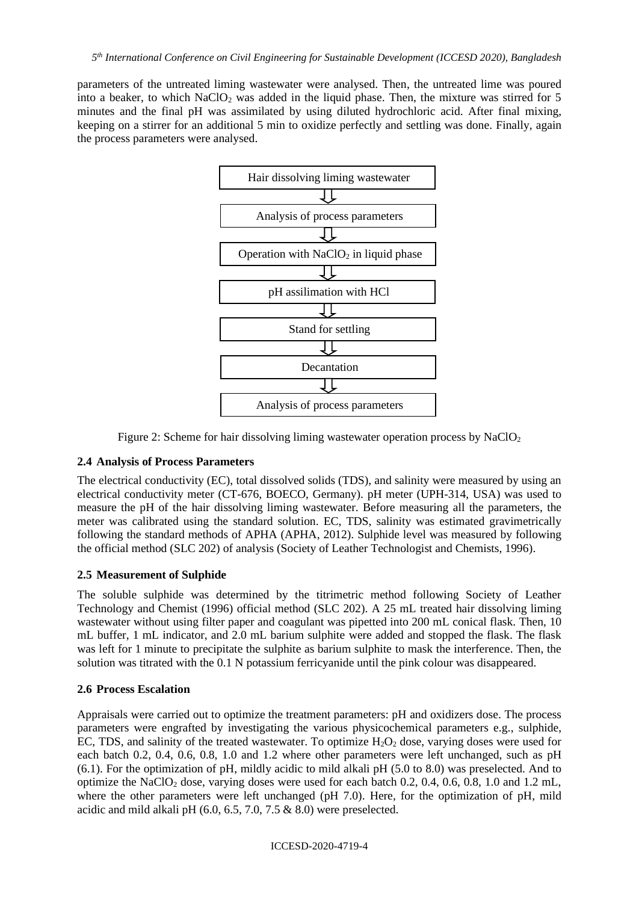parameters of the untreated liming wastewater were analysed. Then, the untreated lime was poured into a beaker, to which  $NaClO<sub>2</sub>$  was added in the liquid phase. Then, the mixture was stirred for 5 minutes and the final pH was assimilated by using diluted hydrochloric acid. After final mixing, keeping on a stirrer for an additional 5 min to oxidize perfectly and settling was done. Finally, again the process parameters were analysed.



Figure 2: Scheme for hair dissolving liming wastewater operation process by  $NaClO<sub>2</sub>$ 

### **2.4 Analysis of Process Parameters**

The electrical conductivity (EC), total dissolved solids (TDS), and salinity were measured by using an electrical conductivity meter (CT-676, BOECO, Germany). pH meter (UPH-314, USA) was used to measure the pH of the hair dissolving liming wastewater. Before measuring all the parameters, the meter was calibrated using the standard solution. EC, TDS, salinity was estimated gravimetrically following the standard methods of APHA (APHA, 2012). Sulphide level was measured by following the official method (SLC 202) of analysis (Society of Leather Technologist and Chemists, 1996).

### **2.5 Measurement of Sulphide**

The soluble sulphide was determined by the titrimetric method following Society of Leather Technology and Chemist (1996) official method (SLC 202). A 25 mL treated hair dissolving liming wastewater without using filter paper and coagulant was pipetted into 200 mL conical flask. Then, 10 mL buffer, 1 mL indicator, and 2.0 mL barium sulphite were added and stopped the flask. The flask was left for 1 minute to precipitate the sulphite as barium sulphite to mask the interference. Then, the solution was titrated with the 0.1 N potassium ferricyanide until the pink colour was disappeared.

### **2.6 Process Escalation**

Appraisals were carried out to optimize the treatment parameters: pH and oxidizers dose. The process parameters were engrafted by investigating the various physicochemical parameters e.g., sulphide, EC, TDS, and salinity of the treated wastewater. To optimize  $H_2O_2$  dose, varying doses were used for each batch 0.2, 0.4, 0.6, 0.8, 1.0 and 1.2 where other parameters were left unchanged, such as pH (6.1). For the optimization of pH, mildly acidic to mild alkali pH (5.0 to 8.0) was preselected. And to optimize the NaClO<sup>2</sup> dose, varying doses were used for each batch 0.2, 0.4, 0.6, 0.8, 1.0 and 1.2 mL, where the other parameters were left unchanged (pH 7.0). Here, for the optimization of pH, mild acidic and mild alkali pH (6.0, 6.5, 7.0, 7.5 & 8.0) were preselected.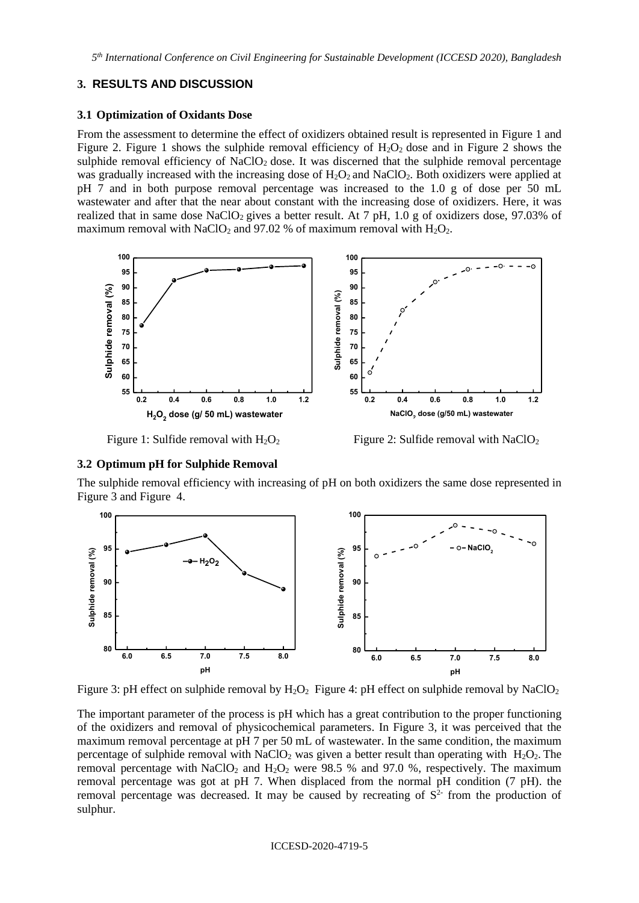*5 th International Conference on Civil Engineering for Sustainable Development (ICCESD 2020), Bangladesh*

#### **3. RESULTS AND DISCUSSION**

#### **3.1 Optimization of Oxidants Dose**

From the assessment to determine the effect of oxidizers obtained result is represented in Figure 1 and Figure 2. Figure 1 shows the sulphide removal efficiency of  $H_2O_2$  dose and in Figure 2 shows the sulphide removal efficiency of NaClO<sub>2</sub> dose. It was discerned that the sulphide removal percentage was gradually increased with the increasing dose of  $H_2O_2$  and NaClO<sub>2</sub>. Both oxidizers were applied at pH 7 and in both purpose removal percentage was increased to the 1.0 g of dose per 50 mL wastewater and after that the near about constant with the increasing dose of oxidizers. Here, it was realized that in same dose NaClO<sub>2</sub> gives a better result. At  $7$  pH,  $1.0$  g of oxidizers dose, 97.03% of maximum removal with NaClO<sub>2</sub> and 97.02 % of maximum removal with  $H_2O_2$ .





Figure 1: Sulfide removal with  $H_2O_2$  Figure 2: Sulfide removal with NaClO<sub>2</sub>

#### **3.2 Optimum pH for Sulphide Removal**

The sulphide removal efficiency with increasing of pH on both oxidizers the same dose represented in Figure 3 and Figure4.



Figure 3: pH effect on sulphide removal by  $H_2O_2$  **Figure 4: pH effect on sulphide removal by NaClO**<sub>2</sub>

The important parameter of the process is pH which has a great contribution to the proper functioning of the oxidizers and removal of physicochemical parameters. In Figure 3, it was perceived that the maximum removal percentage at pH 7 per 50 mL of wastewater. In the same condition, the maximum percentage of sulphide removal with  $NaClO<sub>2</sub>$  was given a better result than operating with  $H<sub>2</sub>O<sub>2</sub>$ . The removal percentage with  $NaClO<sub>2</sub>$  and  $H<sub>2</sub>O<sub>2</sub>$  were 98.5 % and 97.0 %, respectively. The maximum removal percentage was got at pH 7. When displaced from the normal pH condition (7 pH). the removal percentage was decreased. It may be caused by recreating of  $S<sup>2</sup>$  from the production of sulphur.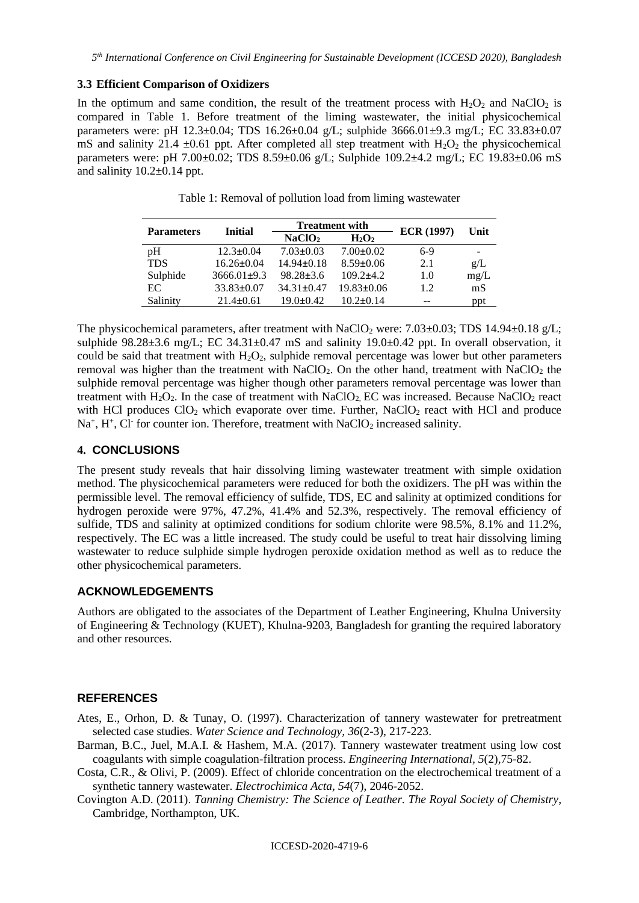### **3.3 Efficient Comparison of Oxidizers**

In the optimum and same condition, the result of the treatment process with  $H_2O_2$  and NaClO<sub>2</sub> is compared in Table 1. Before treatment of the liming wastewater, the initial physicochemical parameters were: pH 12.3±0.04; TDS 16.26±0.04 g/L; sulphide 3666.01±9.3 mg/L; EC 33.83±0.07 mS and salinity 21.4  $\pm$ 0.61 ppt. After completed all step treatment with H<sub>2</sub>O<sub>2</sub> the physicochemical parameters were: pH 7.00±0.02; TDS 8.59±0.06 g/L; Sulphide 109.2±4.2 mg/L; EC 19.83±0.06 mS and salinity  $10.2\pm0.14$  ppt.

| <b>Parameters</b> | <b>Initial</b>    | <b>Treatment with</b> |                  | <b>ECR (1997)</b> | Unit |
|-------------------|-------------------|-----------------------|------------------|-------------------|------|
|                   |                   | NaClO <sub>2</sub>    | $H_2O_2$         |                   |      |
| pH                | $12.3 \pm 0.04$   | $7.03 \pm 0.03$       | $7.00 \pm 0.02$  | $6-9$             | -    |
| <b>TDS</b>        | $16.26 \pm 0.04$  | $14.94\pm0.18$        | $8.59 \pm 0.06$  | 2.1               | g/L  |
| Sulphide          | $3666.01 \pm 9.3$ | $98.28 \pm 3.6$       | $109.2+4.2$      | 1.0               | mg/L |
| EC                | $33.83 \pm 0.07$  | $34.31 \pm 0.47$      | $19.83 \pm 0.06$ | 1.2               | mS   |
| Salinity          | $21.4 \pm 0.61$   | $19.0 \pm 0.42$       | $10.2\pm 0.14$   | --                | ppt  |

Table 1: Removal of pollution load from liming wastewater

The physicochemical parameters, after treatment with NaClO<sub>2</sub> were:  $7.03\pm0.03$ ; TDS 14.94 $\pm0.18$  g/L; sulphide  $98.28\pm3.6$  mg/L; EC  $34.31\pm0.47$  mS and salinity  $19.0\pm0.42$  ppt. In overall observation, it could be said that treatment with  $H_2O_2$ , sulphide removal percentage was lower but other parameters removal was higher than the treatment with  $NaClO<sub>2</sub>$ . On the other hand, treatment with  $NaClO<sub>2</sub>$  the sulphide removal percentage was higher though other parameters removal percentage was lower than treatment with  $H_2O_2$ . In the case of treatment with NaClO<sub>2</sub>, EC was increased. Because NaClO<sub>2</sub> react with HCl produces  $ClO<sub>2</sub>$  which evaporate over time. Further, NaCl $O<sub>2</sub>$  react with HCl and produce  $Na<sup>+</sup>, H<sup>+</sup>, Cl<sup>-</sup>$  for counter ion. Therefore, treatment with NaClO<sub>2</sub> increased salinity.

## **4. CONCLUSIONS**

The present study reveals that hair dissolving liming wastewater treatment with simple oxidation method. The physicochemical parameters were reduced for both the oxidizers. The pH was within the permissible level. The removal efficiency of sulfide, TDS, EC and salinity at optimized conditions for hydrogen peroxide were 97%, 47.2%, 41.4% and 52.3%, respectively. The removal efficiency of sulfide, TDS and salinity at optimized conditions for sodium chlorite were 98.5%, 8.1% and 11.2%, respectively. The EC was a little increased. The study could be useful to treat hair dissolving liming wastewater to reduce sulphide simple hydrogen peroxide oxidation method as well as to reduce the other physicochemical parameters.

### **ACKNOWLEDGEMENTS**

Authors are obligated to the associates of the Department of Leather Engineering, Khulna University of Engineering & Technology (KUET), Khulna-9203, Bangladesh for granting the required laboratory and other resources.

### **REFERENCES**

- Ates, E., Orhon, D. & Tunay, O. (1997). Characterization of tannery wastewater for pretreatment selected case studies. *Water Science and Technology, 36*(2-3), 217-223.
- Barman, B.C., Juel, M.A.I. & Hashem, M.A. (2017). Tannery wastewater treatment using low cost coagulants with simple coagulation-filtration process*. Engineering International, 5*(2)*,*75-82.
- Costa, C.R., & Olivi, P. (2009). Effect of chloride concentration on the electrochemical treatment of a synthetic tannery wastewater. *Electrochimica Acta, 54*(7), 2046-2052.
- Covington A.D. (2011). *Tanning Chemistry: The Science of Leather. The Royal Society of Chemistry*, Cambridge, Northampton, UK.